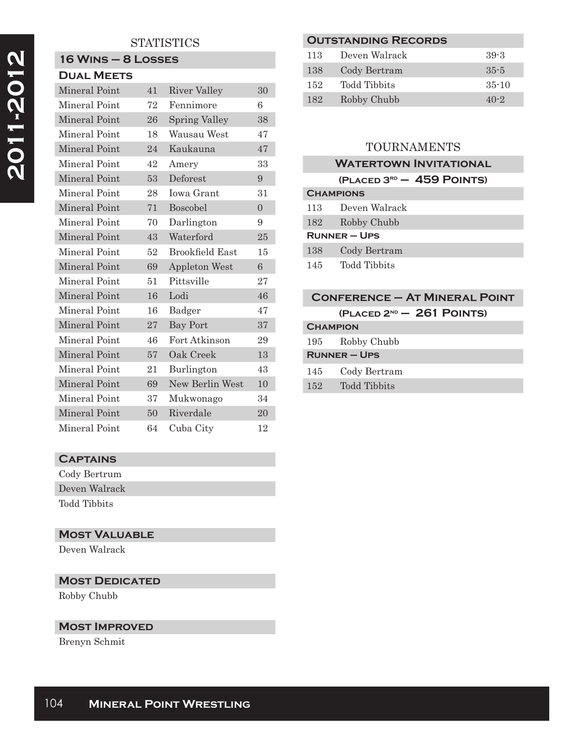### **STATISTICS**

#### **16 Wins – 8 Losses Dual Meets**

| DUAL MEE IS          |    |                        |          |
|----------------------|----|------------------------|----------|
| <b>Mineral Point</b> | 41 | <b>River Valley</b>    | 30       |
| Mineral Point        | 72 | Fennimore              | 6        |
| Mineral Point        | 26 | <b>Spring Valley</b>   | 38       |
| Mineral Point        | 18 | Wausau West            | 47       |
| Mineral Point        | 24 | Kaukauna               | 47       |
| Mineral Point        | 42 | Amery                  | 33       |
| Mineral Point        | 53 | Deforest               | 9        |
| Mineral Point        | 28 | Iowa Grant             | 31       |
| Mineral Point        | 71 | Boscobel               | $\theta$ |
| Mineral Point        | 70 | Darlington             | 9        |
| Mineral Point        | 43 | Waterford              | 25       |
| Mineral Point        | 52 | <b>Brookfield East</b> | 15       |
| <b>Mineral Point</b> | 69 | <b>Appleton West</b>   | 6        |
| Mineral Point        | 51 | Pittsville             | 27       |
| Mineral Point        | 16 | Lodi                   | 46       |
| Mineral Point        | 16 | Badger                 | 47       |
| Mineral Point        | 27 | <b>Bay Port</b>        | 37       |
| Mineral Point        | 46 | Fort Atkinson          | 29       |
| Mineral Point        | 57 | Oak Creek              | 13       |
| Mineral Point        | 21 | Burlington             | 43       |
| Mineral Point        | 69 | New Berlin West        | 10       |
| Mineral Point        | 37 | Mukwonago              | 34       |
| Mineral Point        | 50 | Riverdale              | 20       |
| Mineral Point        | 64 | Cuba City              | 12       |

# **Outstanding Records** 113 Deven Walrack 39-3 138 Cody Bertram 35-5 152 Todd Tibbits 35-10 182 Robby Chubb 40-2

## TOURNAMENTS

|                  | <b>WATERTOWN INVITATIONAL</b> |
|------------------|-------------------------------|
|                  | $(PLACED 3RD - 459$ POINTS)   |
| <b>CHAMPIONS</b> |                               |
| 113              | Deven Walrack                 |
| 182              | Robby Chubb                   |
|                  | <b>RUNNER-UPS</b>             |
| 138              | Cody Bertram                  |
| 145              | Todd Tibbits                  |

| <b>CONFERENCE - AT MINERAL POINT</b> |
|--------------------------------------|
| $(PLACED 2ND - 261 POINTS)$          |
| <b>CHAMPION</b>                      |

|        | 195 Robby Chubb     |  |
|--------|---------------------|--|
|        | <b>RUNNER – UPS</b> |  |
|        | 145 Cody Bertram    |  |
| $152-$ | Todd Tibbits        |  |

## **Captains**

Cody Bertrum Deven Walrack Todd Tibbits

## **Most Valuable**

Deven Walrack

## **MOST DEDICATED**

Robby Chubb

### **Most Improved**

Brenyn Schmit